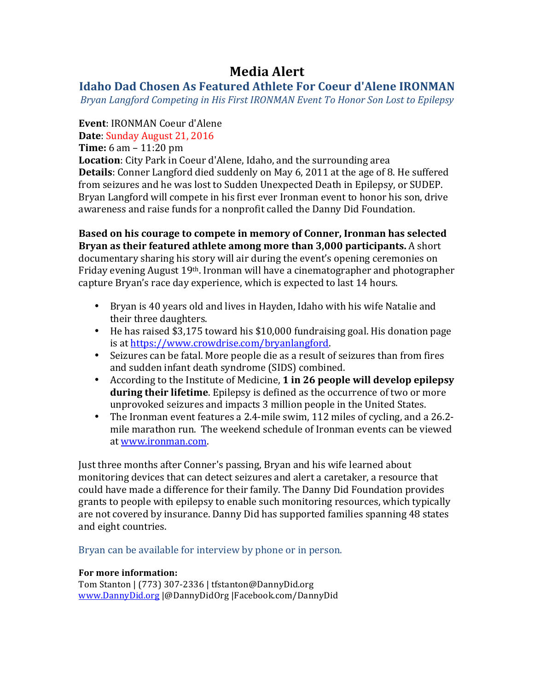# **Media&Alert**

# **Idaho Dad Chosen As Featured Athlete For Coeur d'Alene IRONMAN**

*Bryan Langford Competing in His First IRONMAN Event To Honor Son Lost to Epilepsy* 

## **Event**: IRONMAN Coeur d'Alene

**Date: Sunday August 21, 2016** 

**Time:** 6 am –  $11:20 \text{ pm}$ 

**Location**: City Park in Coeur d'Alene, Idaho, and the surrounding area **Details**: Conner Langford died suddenly on May 6, 2011 at the age of 8. He suffered from seizures and he was lost to Sudden Unexpected Death in Epilepsy, or SUDEP. Bryan Langford will compete in his first ever Ironman event to honor his son, drive awareness and raise funds for a nonprofit called the Danny Did Foundation.

**Based on his courage to compete in memory of Conner, Ironman has selected Bryan as their featured athlete among more than 3,000 participants.** A short documentary sharing his story will air during the event's opening ceremonies on Friday evening August 19<sup>th</sup>. Ironman will have a cinematographer and photographer capture Bryan's race day experience, which is expected to last 14 hours.

- Bryan is 40 years old and lives in Hayden, Idaho with his wife Natalie and their three daughters.
- He has raised \$3,175 toward his  $$10,000$  fundraising goal. His donation page is at https://www.crowdrise.com/bryanlangford.
- Seizures can be fatal. More people die as a result of seizures than from fires and sudden infant death syndrome (SIDS) combined.
- According to the Institute of Medicine, 1 in 26 people will develop epilepsy **during their lifetime**. Epilepsy is defined as the occurrence of two or more unprovoked seizures and impacts 3 million people in the United States.
- The Ironman event features a 2.4-mile swim, 112 miles of cycling, and a 26.2mile marathon run. The weekend schedule of Ironman events can be viewed at www.ironman.com.

Just three months after Conner's passing, Bryan and his wife learned about monitoring devices that can detect seizures and alert a caretaker, a resource that could have made a difference for their family. The Danny Did Foundation provides grants to people with epilepsy to enable such monitoring resources, which typically are not covered by insurance. Danny Did has supported families spanning 48 states and eight countries.

Bryan can be available for interview by phone or in person.

### **For more information:**

Tom Stanton | (773) 307-2336 | tfstanton@DannyDid.org www.DannyDid.org |@DannyDidOrg |Facebook.com/DannyDid